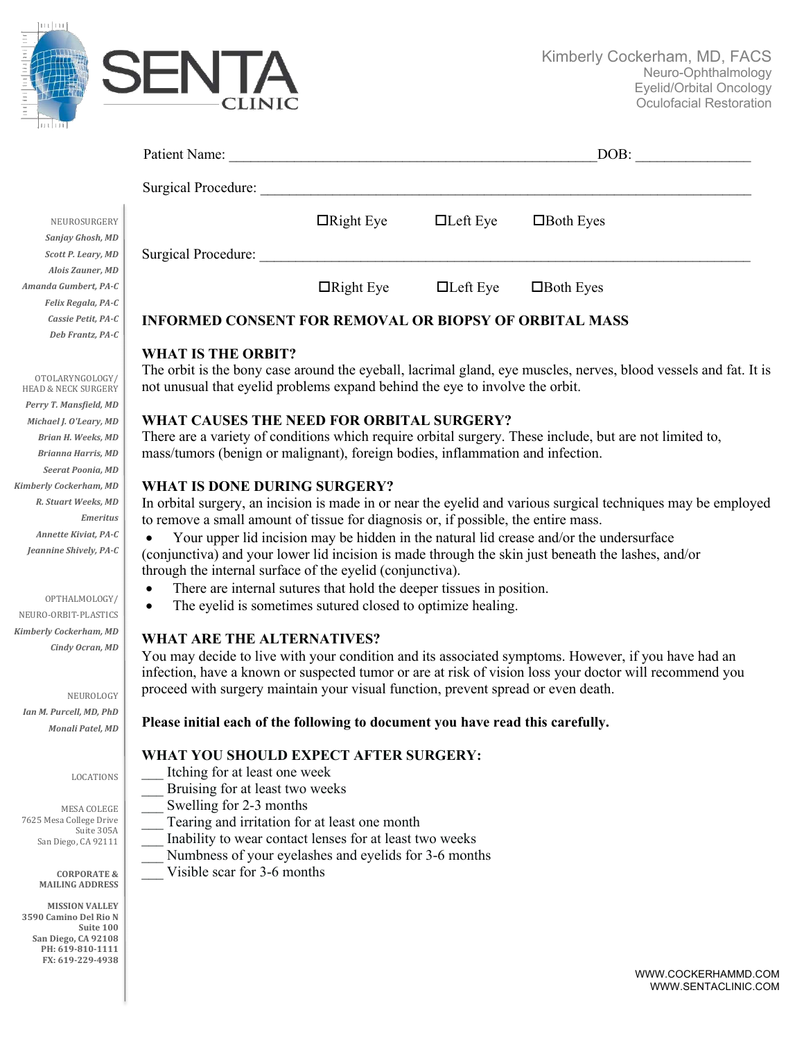

**3590 Camino Del Rio N**

**Suite 100 San Diego, CA 92108** PH: 619-810-1111 **FX: 619-229-4938**

|                                                                             | Patient Name: Name and Solid Report of the Second Second Second Second Second Second Second Second Second Second Second Second Second Second Second Second Second Second Second Second Second Second Second Second Second Seco |                                                                                                                  |                 | DOB:                                                                                                    |  |  |  |
|-----------------------------------------------------------------------------|--------------------------------------------------------------------------------------------------------------------------------------------------------------------------------------------------------------------------------|------------------------------------------------------------------------------------------------------------------|-----------------|---------------------------------------------------------------------------------------------------------|--|--|--|
|                                                                             |                                                                                                                                                                                                                                |                                                                                                                  |                 |                                                                                                         |  |  |  |
| NEUROSURGERY<br>Sanjay Ghosh, MD                                            |                                                                                                                                                                                                                                | $\Box$ Right Eye                                                                                                 | $\Box$ Left Eye | $\Box$ Both Eyes                                                                                        |  |  |  |
| Scott P. Leary, MD                                                          |                                                                                                                                                                                                                                |                                                                                                                  |                 |                                                                                                         |  |  |  |
| Alois Zauner, MD<br>Amanda Gumbert, PA-C                                    |                                                                                                                                                                                                                                | $\Box$ Right Eye $\Box$ Left Eye                                                                                 |                 | $\Box$ Both Eyes                                                                                        |  |  |  |
| Felix Regala, PA-C                                                          |                                                                                                                                                                                                                                |                                                                                                                  |                 |                                                                                                         |  |  |  |
| Cassie Petit, PA-C                                                          | <b>INFORMED CONSENT FOR REMOVAL OR BIOPSY OF ORBITAL MASS</b>                                                                                                                                                                  |                                                                                                                  |                 |                                                                                                         |  |  |  |
| Deb Frantz, PA-C                                                            |                                                                                                                                                                                                                                |                                                                                                                  |                 |                                                                                                         |  |  |  |
| OTOLARYNGOLOGY/<br><b>HEAD &amp; NECK SURGERY</b><br>Perry T. Mansfield, MD | <b>WHAT IS THE ORBIT?</b><br>The orbit is the bony case around the eyeball, lacrimal gland, eye muscles, nerves, blood vessels and fat. It is<br>not unusual that eyelid problems expand behind the eye to involve the orbit.  |                                                                                                                  |                 |                                                                                                         |  |  |  |
| Michael J. O'Leary, MD                                                      | WHAT CAUSES THE NEED FOR ORBITAL SURGERY?                                                                                                                                                                                      |                                                                                                                  |                 |                                                                                                         |  |  |  |
| Brian H. Weeks, MD                                                          | There are a variety of conditions which require orbital surgery. These include, but are not limited to,                                                                                                                        |                                                                                                                  |                 |                                                                                                         |  |  |  |
| <b>Brianna Harris, MD</b>                                                   | mass/tumors (benign or malignant), foreign bodies, inflammation and infection.                                                                                                                                                 |                                                                                                                  |                 |                                                                                                         |  |  |  |
| Seerat Poonia, MD                                                           |                                                                                                                                                                                                                                |                                                                                                                  |                 |                                                                                                         |  |  |  |
| <b>Kimberly Cockerham, MD</b>                                               | <b>WHAT IS DONE DURING SURGERY?</b>                                                                                                                                                                                            |                                                                                                                  |                 |                                                                                                         |  |  |  |
| R. Stuart Weeks, MD                                                         | In orbital surgery, an incision is made in or near the eyelid and various surgical techniques may be employed                                                                                                                  |                                                                                                                  |                 |                                                                                                         |  |  |  |
| <b>Emeritus</b>                                                             | to remove a small amount of tissue for diagnosis or, if possible, the entire mass.<br>Your upper lid incision may be hidden in the natural lid crease and/or the undersurface                                                  |                                                                                                                  |                 |                                                                                                         |  |  |  |
| Annette Kiviat, PA-C<br>Jeannine Shively, PA-C                              | $\bullet$                                                                                                                                                                                                                      |                                                                                                                  |                 |                                                                                                         |  |  |  |
|                                                                             |                                                                                                                                                                                                                                |                                                                                                                  |                 | (conjunctiva) and your lower lid incision is made through the skin just beneath the lashes, and/or      |  |  |  |
|                                                                             | through the internal surface of the eyelid (conjunctiva).                                                                                                                                                                      |                                                                                                                  |                 |                                                                                                         |  |  |  |
| OPTHALMOLOGY/                                                               | $\bullet$<br>$\bullet$                                                                                                                                                                                                         | There are internal sutures that hold the deeper tissues in position.                                             |                 |                                                                                                         |  |  |  |
| NEURO-ORBIT-PLASTICS                                                        |                                                                                                                                                                                                                                | The eyelid is sometimes sutured closed to optimize healing.                                                      |                 |                                                                                                         |  |  |  |
| Kimberly Cockerham, MD                                                      | <b>WHAT ARE THE ALTERNATIVES?</b>                                                                                                                                                                                              |                                                                                                                  |                 |                                                                                                         |  |  |  |
| Cindy Ocran, MD                                                             | You may decide to live with your condition and its associated symptoms. However, if you have had an                                                                                                                            |                                                                                                                  |                 |                                                                                                         |  |  |  |
|                                                                             |                                                                                                                                                                                                                                |                                                                                                                  |                 | infection, have a known or suspected tumor or are at risk of vision loss your doctor will recommend you |  |  |  |
| NEUROLOGY                                                                   | proceed with surgery maintain your visual function, prevent spread or even death.                                                                                                                                              |                                                                                                                  |                 |                                                                                                         |  |  |  |
| Ian M. Purcell, MD, PhD                                                     |                                                                                                                                                                                                                                |                                                                                                                  |                 |                                                                                                         |  |  |  |
| Monali Patel, MD                                                            | Please initial each of the following to document you have read this carefully.                                                                                                                                                 |                                                                                                                  |                 |                                                                                                         |  |  |  |
|                                                                             |                                                                                                                                                                                                                                |                                                                                                                  |                 |                                                                                                         |  |  |  |
|                                                                             | WHAT YOU SHOULD EXPECT AFTER SURGERY:                                                                                                                                                                                          |                                                                                                                  |                 |                                                                                                         |  |  |  |
| LOCATIONS                                                                   | Itching for at least one week                                                                                                                                                                                                  |                                                                                                                  |                 |                                                                                                         |  |  |  |
|                                                                             | Bruising for at least two weeks                                                                                                                                                                                                |                                                                                                                  |                 |                                                                                                         |  |  |  |
| MESA COLEGE                                                                 | Swelling for 2-3 months                                                                                                                                                                                                        |                                                                                                                  |                 |                                                                                                         |  |  |  |
| 7625 Mesa College Drive<br>Suite 305A                                       |                                                                                                                                                                                                                                | Tearing and irritation for at least one month                                                                    |                 |                                                                                                         |  |  |  |
| San Diego, CA 92111                                                         |                                                                                                                                                                                                                                | Inability to wear contact lenses for at least two weeks<br>Numbness of your eyelashes and eyelids for 3-6 months |                 |                                                                                                         |  |  |  |
|                                                                             | Visible scar for 3-6 months                                                                                                                                                                                                    |                                                                                                                  |                 |                                                                                                         |  |  |  |
| <b>CORPORATE &amp;</b><br><b>MAILING ADDRESS</b>                            |                                                                                                                                                                                                                                |                                                                                                                  |                 |                                                                                                         |  |  |  |
| <b>MISSION VALLEY</b>                                                       |                                                                                                                                                                                                                                |                                                                                                                  |                 |                                                                                                         |  |  |  |